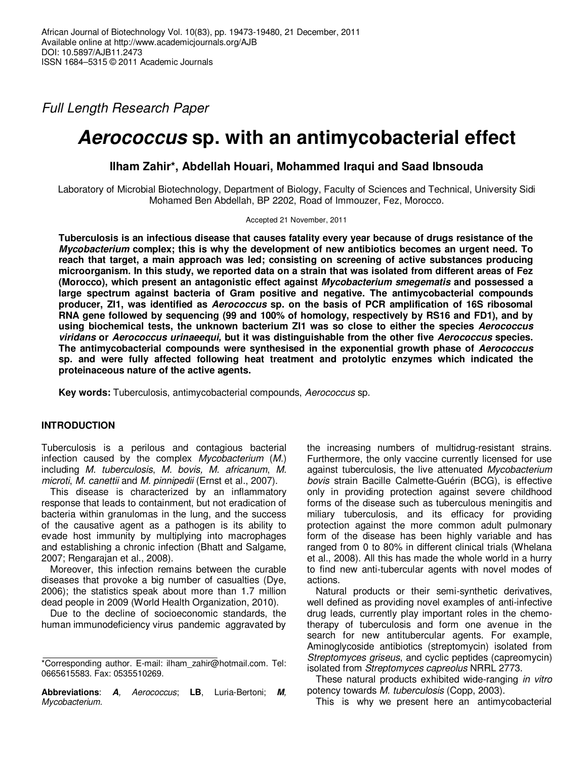Full Length Research Paper

# **Aerococcus sp. with an antimycobacterial effect**

**Ilham Zahir\*, Abdellah Houari, Mohammed Iraqui and Saad Ibnsouda** 

Laboratory of Microbial Biotechnology, Department of Biology, Faculty of Sciences and Technical, University Sidi Mohamed Ben Abdellah, BP 2202, Road of Immouzer, Fez, Morocco.

Accepted 21 November, 2011

**Tuberculosis is an infectious disease that causes fatality every year because of drugs resistance of the Mycobacterium complex; this is why the development of new antibiotics becomes an urgent need. To reach that target, a main approach was led; consisting on screening of active substances producing microorganism. In this study, we reported data on a strain that was isolated from different areas of Fez (Morocco), which present an antagonistic effect against Mycobacterium smegematis and possessed a large spectrum against bacteria of Gram positive and negative. The antimycobacterial compounds producer, ZI1, was identified as Aerococcus sp. on the basis of PCR amplification of 16S ribosomal RNA gene followed by sequencing (99 and 100% of homology, respectively by RS16 and FD1), and by using biochemical tests, the unknown bacterium ZI1 was so close to either the species Aerococcus viridans or Aerococcus urinaeequi, but it was distinguishable from the other five Aerococcus species. The antimycobacterial compounds were synthesised in the exponential growth phase of Aerococcus sp. and were fully affected following heat treatment and protolytic enzymes which indicated the proteinaceous nature of the active agents.** 

**Key words:** Tuberculosis, antimycobacterial compounds, Aerococcus sp.

# **INTRODUCTION**

Tuberculosis is a perilous and contagious bacterial infection caused by the complex Mycobacterium (M.) including M. tuberculosis, M. bovis, M. africanum, M. microti, M. canettii and M. pinnipedii (Ernst et al., 2007).

This disease is characterized by an inflammatory response that leads to containment, but not eradication of bacteria within granulomas in the lung, and the success of the causative agent as a pathogen is its ability to evade host immunity by multiplying into macrophages and establishing a chronic infection (Bhatt and Salgame, 2007; Rengarajan et al., 2008).

Moreover, this infection remains between the curable diseases that provoke a big number of casualties (Dye, 2006); the statistics speak about more than 1.7 million dead people in 2009 (World Health Organization, 2010).

Due to the decline of socioeconomic standards, the human immunodeficiency virus pandemic aggravated by

**Abbreviations**: **A**, Aerococcus; **LB**, Luria-Bertoni; **M**, Mycobacterium.

the increasing numbers of multidrug-resistant strains. Furthermore, the only vaccine currently licensed for use against tuberculosis, the live attenuated Mycobacterium bovis strain Bacille Calmette-Guérin (BCG), is effective only in providing protection against severe childhood forms of the disease such as tuberculous meningitis and miliary tuberculosis, and its efficacy for providing protection against the more common adult pulmonary form of the disease has been highly variable and has ranged from 0 to 80% in different clinical trials (Whelana et al., 2008). All this has made the whole world in a hurry to find new anti-tubercular agents with novel modes of actions.

Natural products or their semi-synthetic derivatives, well defined as providing novel examples of anti-infective drug leads, currently play important roles in the chemotherapy of tuberculosis and form one avenue in the search for new antitubercular agents. For example, Aminoglycoside antibiotics (streptomycin) isolated from Streptomyces griseus, and cyclic peptides (capreomycin) isolated from Streptomyces capreolus NRRL 2773.

These natural products exhibited wide-ranging in vitro potency towards M. tuberculosis (Copp, 2003).

This is why we present here an antimycobacterial

<sup>\*</sup>Corresponding author. E-mail: ilham\_zahir@hotmail.com. Tel: 0665615583. Fax: 0535510269.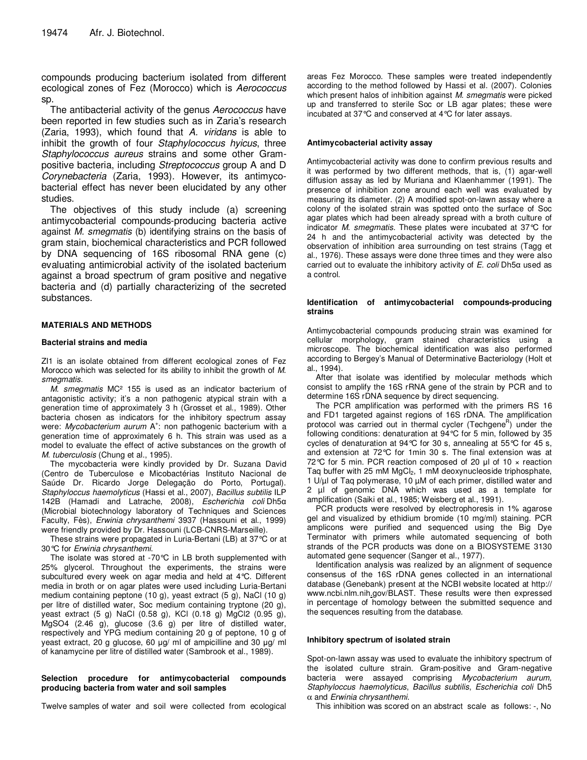compounds producing bacterium isolated from different ecological zones of Fez (Morocco) which is Aerococcus sp.

The antibacterial activity of the genus Aerococcus have been reported in few studies such as in Zaria's research (Zaria, 1993), which found that A. viridans is able to inhibit the growth of four Staphylococcus hyicus, three Staphylococcus aureus strains and some other Grampositive bacteria, including Streptococcus group A and D Corynebacteria (Zaria, 1993). However, its antimycobacterial effect has never been elucidated by any other studies.

The objectives of this study include (a) screening antimycobacterial compounds-producing bacteria active against M. smegmatis (b) identifying strains on the basis of gram stain, biochemical characteristics and PCR followed by DNA sequencing of 16S ribosomal RNA gene (c) evaluating antimicrobial activity of the isolated bacterium against a broad spectrum of gram positive and negative bacteria and (d) partially characterizing of the secreted substances.

#### **MATERIALS AND METHODS**

#### **Bacterial strains and media**

ZI1 is an isolate obtained from different ecological zones of Fez Morocco which was selected for its ability to inhibit the growth of M. smegmatis.

M. smegmatis MC<sup>2</sup> 155 is used as an indicator bacterium of antagonistic activity; it's a non pathogenic atypical strain with a generation time of approximately 3 h (Grosset et al., 1989). Other bacteria chosen as indicators for the inhibitory spectrum assay were: Mycobacterium aurum A<sup>+</sup>: non pathogenic bacterium with a generation time of approximately 6 h. This strain was used as a model to evaluate the effect of active substances on the growth of M. tuberculosis (Chung et al., 1995).

The mycobacteria were kindly provided by Dr. Suzana David (Centro de Tuberculose e Micobactérias Instituto Nacional de Saúde Dr. Ricardo Jorge Delegação do Porto, Portugal). Staphyloccus haemolyticus (Hassi et al., 2007), Bacillus subtilis ILP 142B (Hamadi and Latrache, 2008), Escherichia coli Dh5α (Microbial biotechnology laboratory of Techniques and Sciences Faculty, Fès), Erwinia chrysanthemi 3937 (Hassouni et al., 1999) were friendly provided by Dr. Hassouni (LCB-CNRS-Marseille).

These strains were propagated in Luria-Bertani (LB) at 37°C or at 30°C for Erwinia chrysanthemi.

The isolate was stored at -70°C in LB broth supplemented with 25% glycerol. Throughout the experiments, the strains were subcultured every week on agar media and held at 4°C. Different media in broth or on agar plates were used including Luria-Bertani medium containing peptone (10 g), yeast extract (5 g), NaCl (10 g) per litre of distilled water, Soc medium containing tryptone (20 g), yeast extract (5 g) NaCl (0.58 g), KCl (0.18 g) MgCl2 (0.95 g), MgSO4 (2.46 g), glucose (3.6 g) per litre of distilled water, respectively and YPG medium containing 20 g of peptone, 10 g of yeast extract, 20 g glucose, 60 µg/ ml of ampicilline and 30 µg/ ml of kanamycine per litre of distilled water (Sambrook et al., 1989).

#### **Selection procedure for antimycobacterial compounds producing bacteria from water and soil samples**

Twelve samples of water and soil were collected from ecological

areas Fez Morocco. These samples were treated independently according to the method followed by Hassi et al. (2007). Colonies which present halos of inhibition against M. smegmatis were picked up and transferred to sterile Soc or LB agar plates; these were incubated at 37°C and conserved at 4°C for later assays.

#### **Antimycobacterial activity assay**

Antimycobacterial activity was done to confirm previous results and it was performed by two different methods, that is, (1) agar-well diffusion assay as led by Muriana and Klaenhammer (1991). The presence of inhibition zone around each well was evaluated by measuring its diameter. (2) A modified spot-on-lawn assay where a colony of the isolated strain was spotted onto the surface of Soc agar plates which had been already spread with a broth culture of indicator M. smegmatis. These plates were incubated at 37°C for 24 h and the antimycobacterial activity was detected by the observation of inhibition area surrounding on test strains (Tagg et al., 1976). These assays were done three times and they were also carried out to evaluate the inhibitory activity of  $E$ . coli Dh5 $\alpha$  used as a control.

#### **Identification of antimycobacterial compounds-producing strains**

Antimycobacterial compounds producing strain was examined for cellular morphology, gram stained characteristics using a microscope. The biochemical identification was also performed according to Bergey's Manual of Determinative Bacteriology (Holt et al., 1994).

After that isolate was identified by molecular methods which consist to amplify the 16S rRNA gene of the strain by PCR and to determine 16S rDNA sequence by direct sequencing.

The PCR amplification was performed with the primers RS 16 and FD1 targeted against regions of 16S rDNA. The amplification protocol was carried out in thermal cycler (Techgene<sup>R</sup>) under the following conditions: denaturation at 94°C for 5 min, followed by 35 cycles of denaturation at 94°C for 30 s, annealing at 55°C for 45 s, and extension at 72°C for 1min 30 s. The final extension was at 72 °C for 5 min. PCR reaction composed of 20  $\mu$ l of 10  $\times$  reaction Tag buffer with 25 mM MgCl<sub>2</sub>, 1 mM deoxynucleoside triphosphate, 1 U/µl of Taq polymerase, 10 µM of each primer, distilled water and 2 µl of genomic DNA which was used as a template for amplification (Saiki et al., 1985; Weisberg et al., 1991).

PCR products were resolved by electrophoresis in 1% agarose gel and visualized by ethidium bromide (10 mg/ml) staining. PCR amplicons were purified and sequenced using the Big Dye Terminator with primers while automated sequencing of both strands of the PCR products was done on a BIOSYSTEME 3130 automated gene sequencer (Sanger et al., 1977).

Identification analysis was realized by an alignment of sequence consensus of the 16S rDNA genes collected in an international database (Genebank) present at the NCBI website located at http:// www.ncbi.nlm.nih.gov/BLAST. These results were then expressed in percentage of homology between the submitted sequence and the sequences resulting from the database.

#### **Inhibitory spectrum of isolated strain**

Spot-on-lawn assay was used to evaluate the inhibitory spectrum of the isolated culture strain. Gram-positive and Gram-negative bacteria were assayed comprising Mycobacterium aurum, Staphyloccus haemolyticus, Bacillus subtilis, Escherichia coli Dh5  $\alpha$  and Erwinia chrysanthemi.

This inhibition was scored on an abstract scale as follows: -, No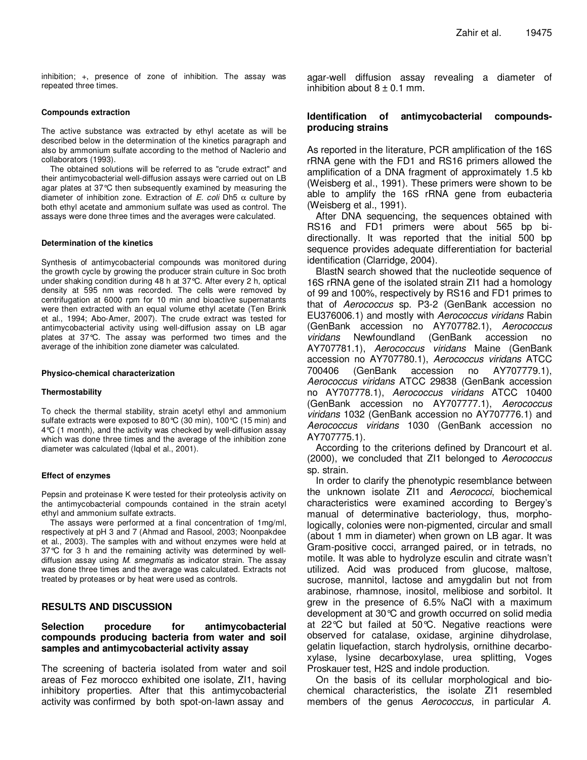inhibition; +, presence of zone of inhibition. The assay was repeated three times.

#### **Compounds extraction**

The active substance was extracted by ethyl acetate as will be described below in the determination of the kinetics paragraph and also by ammonium sulfate according to the method of Naclerio and collaborators (1993).

The obtained solutions will be referred to as "crude extract" and their antimycobacterial well-diffusion assays were carried out on LB agar plates at 37°C then subsequently examined by measuring the diameter of inhibition zone. Extraction of E. coli Dh5  $\alpha$  culture by both ethyl acetate and ammonium sulfate was used as control. The assays were done three times and the averages were calculated.

#### **Determination of the kinetics**

Synthesis of antimycobacterial compounds was monitored during the growth cycle by growing the producer strain culture in Soc broth under shaking condition during 48 h at 37°C. After every 2 h, optical density at 595 nm was recorded. The cells were removed by centrifugation at 6000 rpm for 10 min and bioactive supernatants were then extracted with an equal volume ethyl acetate (Ten Brink et al., 1994; Abo-Amer, 2007). The crude extract was tested for antimycobacterial activity using well-diffusion assay on LB agar plates at 37°C. The assay was performed two times and the average of the inhibition zone diameter was calculated.

#### **Physico-chemical characterization**

#### **Thermostability**

To check the thermal stability, strain acetyl ethyl and ammonium sulfate extracts were exposed to 80°C (30 min), 100°C (15 min) and 4°C (1 month), and the activity was checked by well-diffusion assay which was done three times and the average of the inhibition zone diameter was calculated (Iqbal et al., 2001).

#### **Effect of enzymes**

Pepsin and proteinase K were tested for their proteolysis activity on the antimycobacterial compounds contained in the strain acetyl ethyl and ammonium sulfate extracts.

The assays were performed at a final concentration of 1mg/ml, respectively at pH 3 and 7 (Ahmad and Rasool, 2003; Noonpakdee et al., 2003). The samples with and without enzymes were held at 37°C for 3 h and the remaining activity was determined by welldiffusion assay using M. smegmatis as indicator strain. The assay was done three times and the average was calculated. Extracts not treated by proteases or by heat were used as controls.

# **RESULTS AND DISCUSSION**

## **Selection procedure for antimycobacterial compounds producing bacteria from water and soil samples and antimycobacterial activity assay**

The screening of bacteria isolated from water and soil areas of Fez morocco exhibited one isolate, ZI1, having inhibitory properties. After that this antimycobacterial activity was confirmed by both spot-on-lawn assay and

agar-well diffusion assay revealing a diameter of inhibition about  $8 \pm 0.1$  mm.

## **Identification of antimycobacterial compoundsproducing strains**

As reported in the literature, PCR amplification of the 16S rRNA gene with the FD1 and RS16 primers allowed the amplification of a DNA fragment of approximately 1.5 kb (Weisberg et al., 1991). These primers were shown to be able to amplify the 16S rRNA gene from eubacteria (Weisberg et al., 1991).

After DNA sequencing, the sequences obtained with RS16 and FD1 primers were about 565 bp bidirectionally. It was reported that the initial 500 bp sequence provides adequate differentiation for bacterial identification (Clarridge, 2004).

BlastN search showed that the nucleotide sequence of 16S rRNA gene of the isolated strain ZI1 had a homology of 99 and 100%, respectively by RS16 and FD1 primes to that of Aerococcus sp. P3-2 (GenBank accession no EU376006.1) and mostly with Aerococcus viridans Rabin (GenBank accession no AY707782.1), Aerococcus viridans Newfoundland (GenBank accession no AY707781.1), Aerococcus viridans Maine (GenBank accession no AY707780.1), Aerococcus viridans ATCC 700406 (GenBank accession no AY707779.1), Aerococcus viridans ATCC 29838 (GenBank accession no AY707778.1), Aerococcus viridans ATCC 10400 (GenBank accession no AY707777.1), Aerococcus viridans 1032 (GenBank accession no AY707776.1) and Aerococcus viridans 1030 (GenBank accession no AY707775.1).

According to the criterions defined by Drancourt et al. (2000), we concluded that ZI1 belonged to Aerococcus sp. strain.

In order to clarify the phenotypic resemblance between the unknown isolate ZI1 and Aerococci, biochemical characteristics were examined according to Bergey's manual of determinative bacteriology, thus, morphologically, colonies were non-pigmented, circular and small (about 1 mm in diameter) when grown on LB agar. It was Gram-positive cocci, arranged paired, or in tetrads, no motile. It was able to hydrolyze esculin and citrate wasn't utilized. Acid was produced from glucose, maltose, sucrose, mannitol, lactose and amygdalin but not from arabinose, rhamnose, inositol, melibiose and sorbitol. It grew in the presence of 6.5% NaCl with a maximum development at 30°C and growth occurred on solid media at 22°C but failed at 50°C. Negative reactions were observed for catalase, oxidase, arginine dihydrolase, gelatin liquefaction, starch hydrolysis, ornithine decarboxylase, lysine decarboxylase, urea splitting, Voges Proskauer test, H2S and indole production.

On the basis of its cellular morphological and biochemical characteristics, the isolate ZI1 resembled members of the genus Aerococcus, in particular A.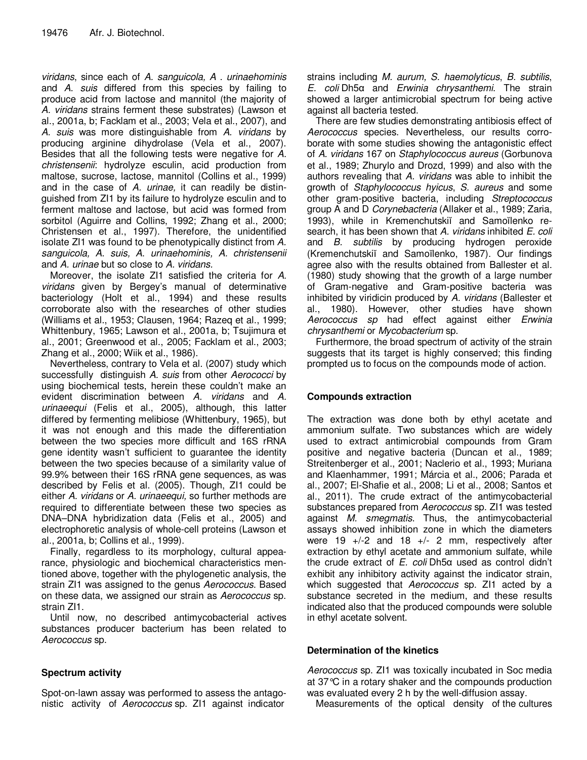viridans, since each of A. sanguicola, A . urinaehominis and A. suis differed from this species by failing to produce acid from lactose and mannitol (the majority of A. viridans strains ferment these substrates) (Lawson et al., 2001a, b; Facklam et al., 2003; Vela et al., 2007), and A. suis was more distinguishable from A. viridans by producing arginine dihydrolase (Vela et al., 2007). Besides that all the following tests were negative for A. christensenii: hydrolyze esculin, acid production from maltose, sucrose, lactose, mannitol (Collins et al., 1999) and in the case of A. urinae, it can readily be distinguished from ZI1 by its failure to hydrolyze esculin and to ferment maltose and lactose, but acid was formed from sorbitol (Aguirre and Collins, 1992; Zhang et al., 2000; Christensen et al., 1997). Therefore, the unidentified isolate ZI1 was found to be phenotypically distinct from A. sanguicola, A. suis, A. urinaehominis, A. christensenii and A. urinae but so close to A. viridans.

Moreover, the isolate ZI1 satisfied the criteria for A. viridans given by Bergey's manual of determinative bacteriology (Holt et al., 1994) and these results corroborate also with the researches of other studies (Williams et al., 1953; Clausen, 1964; Razeq et al., 1999; Whittenbury, 1965; Lawson et al., 2001a, b; Tsujimura et al., 2001; Greenwood et al., 2005; Facklam et al., 2003; Zhang et al., 2000; Wiik et al., 1986).

Nevertheless, contrary to Vela et al. (2007) study which successfully distinguish A. suis from other Aerococci by using biochemical tests, herein these couldn't make an evident discrimination between A. viridans and A. urinaeequi (Felis et al., 2005), although, this latter differed by fermenting melibiose (Whittenbury, 1965), but it was not enough and this made the differentiation between the two species more difficult and 16S rRNA gene identity wasn't sufficient to guarantee the identity between the two species because of a similarity value of 99.9% between their 16S rRNA gene sequences, as was described by Felis et al. (2005). Though, ZI1 could be either A. viridans or A. urinaeequi, so further methods are required to differentiate between these two species as DNA–DNA hybridization data (Felis et al., 2005) and electrophoretic analysis of whole-cell proteins (Lawson et al., 2001a, b; Collins et al., 1999).

Finally, regardless to its morphology, cultural appearance, physiologic and biochemical characteristics mentioned above, together with the phylogenetic analysis, the strain ZI1 was assigned to the genus Aerococcus. Based on these data, we assigned our strain as Aerococcus sp. strain ZI1.

Until now, no described antimycobacterial actives substances producer bacterium has been related to Aerococcus sp.

# **Spectrum activity**

Spot-on-lawn assay was performed to assess the antagonistic activity of Aerococcus sp. ZI1 against indicator

strains including M. aurum, S. haemolyticus, B. subtilis, E. coli Dh5α and Erwinia chrysanthemi. The strain showed a larger antimicrobial spectrum for being active against all bacteria tested.

There are few studies demonstrating antibiosis effect of Aerococcus species. Nevertheless, our results corroborate with some studies showing the antagonistic effect of A. viridans 167 on Staphylococcus aureus (Gorbunova et al., 1989; Zhurylo and Drozd, 1999) and also with the authors revealing that A. viridans was able to inhibit the growth of Staphylococcus hyicus, S. aureus and some other gram-positive bacteria, including Streptococcus group A and D Corynebacteria (Allaker et al., 1989; Zaria, 1993), while in Kremenchutskiĭ and Samoĭlenko research, it has been shown that A. viridans inhibited E. coli and B. subtilis by producing hydrogen peroxide (Kremenchutskiĭ and Samoĭlenko, 1987). Our findings agree also with the results obtained from Ballester et al. (1980) study showing that the growth of a large number of Gram-negative and Gram-positive bacteria was inhibited by viridicin produced by A. viridans (Ballester et al., 1980). However, other studies have shown Aerococcus sp had effect against either Erwinia chrysanthemi or Mycobacterium sp.

Furthermore, the broad spectrum of activity of the strain suggests that its target is highly conserved; this finding prompted us to focus on the compounds mode of action.

# **Compounds extraction**

The extraction was done both by ethyl acetate and ammonium sulfate. Two substances which are widely used to extract antimicrobial compounds from Gram positive and negative bacteria (Duncan et al., 1989; Streitenberger et al., 2001; Naclerio et al., 1993; Muriana and Klaenhammer, 1991; Márcia et al., 2006; Parada et al., 2007; El-Shafie et al., 2008; Li et al., 2008; Santos et al., 2011). The crude extract of the antimycobacterial substances prepared from Aerococcus sp. ZI1 was tested against M. smegmatis. Thus, the antimycobacterial assays showed inhibition zone in which the diameters were 19 +/-2 and 18 +/- 2 mm, respectively after extraction by ethyl acetate and ammonium sulfate, while the crude extract of  $E$ . coli Dh5α used as control didn't exhibit any inhibitory activity against the indicator strain, which suggested that Aerococcus sp. ZI1 acted by a substance secreted in the medium, and these results indicated also that the produced compounds were soluble in ethyl acetate solvent.

# **Determination of the kinetics**

Aerococcus sp. ZI1 was toxically incubated in Soc media at 37°C in a rotary shaker and the compounds production was evaluated every 2 h by the well-diffusion assay.

Measurements of the optical density of the cultures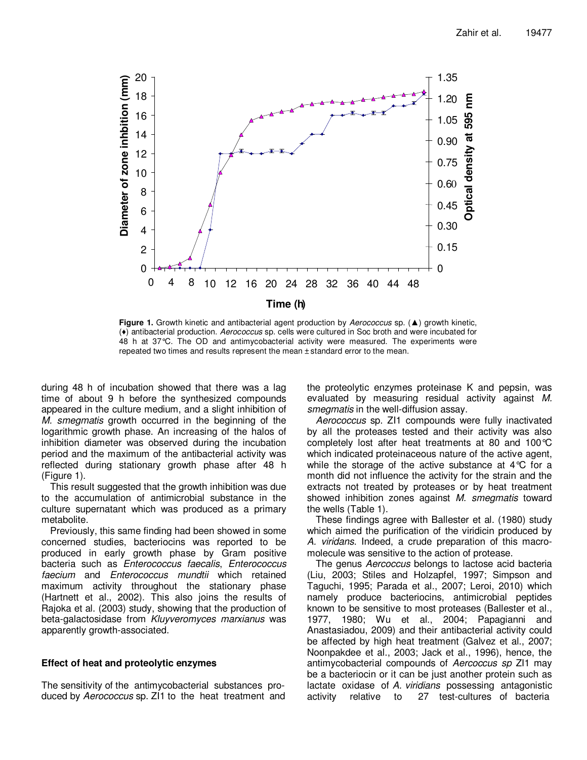

**Figure 1.** Growth kinetic and antibacterial agent production by Aerococcus sp. (▲) growth kinetic, (♦) antibacterial production. Aerococcus sp. cells were cultured in Soc broth and were incubated for 48 h at 37°C. The OD and antimycobacterial activity were measured. The experiments were repeated two times and results represent the mean ± standard error to the mean.

during 48 h of incubation showed that there was a lag time of about 9 h before the synthesized compounds appeared in the culture medium, and a slight inhibition of M. smegmatis growth occurred in the beginning of the logarithmic growth phase. An increasing of the halos of inhibition diameter was observed during the incubation period and the maximum of the antibacterial activity was reflected during stationary growth phase after 48 h (Figure 1).

This result suggested that the growth inhibition was due to the accumulation of antimicrobial substance in the culture supernatant which was produced as a primary metabolite.

Previously, this same finding had been showed in some concerned studies, bacteriocins was reported to be produced in early growth phase by Gram positive bacteria such as Enterococcus faecalis, Enterococcus faecium and Enterococcus mundtii which retained maximum activity throughout the stationary phase (Hartnett et al., 2002). This also joins the results of Rajoka et al. (2003) study, showing that the production of beta-galactosidase from Kluyveromyces marxianus was apparently growth-associated.

# **Effect of heat and proteolytic enzymes**

The sensitivity of the antimycobacterial substances produced by Aerococcus sp. ZI1 to the heat treatment and the proteolytic enzymes proteinase K and pepsin, was evaluated by measuring residual activity against M. smegmatis in the well-diffusion assay.

Aerococcus sp. ZI1 compounds were fully inactivated by all the proteases tested and their activity was also completely lost after heat treatments at 80 and 100°C which indicated proteinaceous nature of the active agent, while the storage of the active substance at 4°C for a month did not influence the activity for the strain and the extracts not treated by proteases or by heat treatment showed inhibition zones against M. smegmatis toward the wells (Table 1).

These findings agree with Ballester et al. (1980) study which aimed the purification of the viridicin produced by A. viridans. Indeed, a crude preparation of this macromolecule was sensitive to the action of protease.

The genus Aercoccus belongs to lactose acid bacteria (Liu, 2003; Stiles and Holzapfel, 1997; Simpson and Taguchi, 1995; Parada et al., 2007; Leroi, 2010) which namely produce bacteriocins, antimicrobial peptides known to be sensitive to most proteases (Ballester et al., 1977, 1980; Wu et al., 2004; Papagianni and Anastasiadou, 2009) and their antibacterial activity could be affected by high heat treatment (Galvez et al., 2007; Noonpakdee et al., 2003; Jack et al., 1996), hence, the antimycobacterial compounds of Aercoccus sp ZI1 may be a bacteriocin or it can be just another protein such as lactate oxidase of A. viridians possessing antagonistic activity relative to 27 test-cultures of bacteria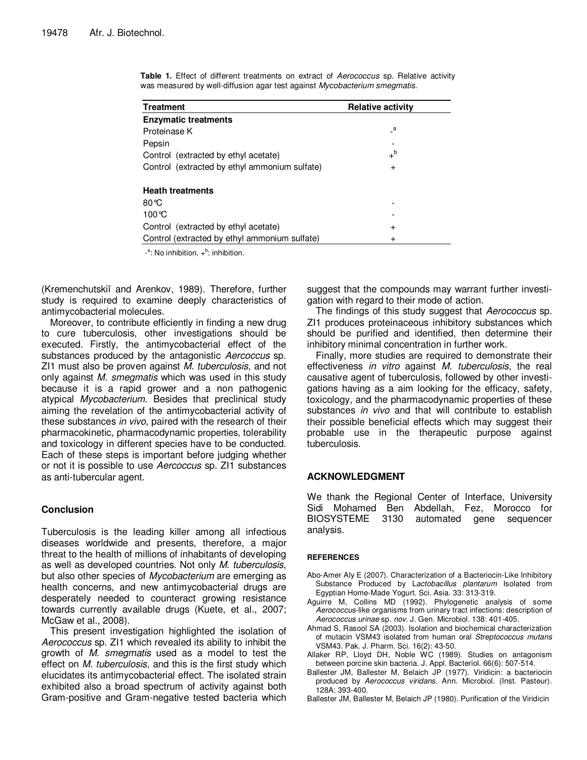| <b>Treatment</b>                              | <b>Relative activity</b> |
|-----------------------------------------------|--------------------------|
| <b>Enzymatic treatments</b>                   |                          |
| Proteinase K                                  | a                        |
| Pepsin                                        |                          |
| Control (extracted by ethyl acetate)          | $+^{\mathsf{b}}$         |
| Control (extracted by ethyl ammonium sulfate) | $\ddot{}$                |
| <b>Heath treatments</b>                       |                          |
| $80^{\circ}$ C                                |                          |
| $100^{\circ}$ C                               |                          |
| Control (extracted by ethyl acetate)          | $\pm$                    |
| Control (extracted by ethyl ammonium sulfate) | $\pm$                    |

**Table 1.** Effect of different treatments on extract of Aerococcus sp. Relative activity was measured by well-diffusion agar test against Mycobacterium smegmatis.

 $-$ <sup>a</sup>: No inhibition,  $+$ <sup>b</sup>: inhibition.

(Kremenchutskiĭ and Arenkov, 1989). Therefore, further study is required to examine deeply characteristics of antimycobacterial molecules.

Moreover, to contribute efficiently in finding a new drug to cure tuberculosis, other investigations should be executed. Firstly, the antimycobacterial effect of the substances produced by the antagonistic Aercoccus sp. ZI1 must also be proven against M. tuberculosis, and not only against M. smegmatis which was used in this study because it is a rapid grower and a non pathogenic atypical Mycobacterium. Besides that preclinical study aiming the revelation of the antimycobacterial activity of these substances in vivo, paired with the research of their pharmacokinetic, pharmacodynamic properties, tolerability and toxicology in different species have to be conducted. Each of these steps is important before judging whether or not it is possible to use Aercoccus sp. ZI1 substances as anti-tubercular agent.

# **Conclusion**

Tuberculosis is the leading killer among all infectious diseases worldwide and presents, therefore, a major threat to the health of millions of inhabitants of developing as well as developed countries. Not only M. tuberculosis, but also other species of Mycobacterium are emerging as health concerns, and new antimycobacterial drugs are desperately needed to counteract growing resistance towards currently available drugs (Kuete, et al., 2007; McGaw et al., 2008).

This present investigation highlighted the isolation of Aerococcus sp. ZI1 which revealed its ability to inhibit the growth of M. smegmatis used as a model to test the effect on *M. tuberculosis*, and this is the first study which elucidates its antimycobacterial effect. The isolated strain exhibited also a broad spectrum of activity against both Gram-positive and Gram-negative tested bacteria which suggest that the compounds may warrant further investigation with regard to their mode of action.

The findings of this study suggest that Aerococcus sp. ZI1 produces proteinaceous inhibitory substances which should be purified and identified, then determine their inhibitory minimal concentration in further work.

Finally, more studies are required to demonstrate their effectiveness in vitro against M. tuberculosis, the real causative agent of tuberculosis, followed by other investigations having as a aim looking for the efficacy, safety, toxicology, and the pharmacodynamic properties of these substances in vivo and that will contribute to establish their possible beneficial effects which may suggest their probable use in the therapeutic purpose against tuberculosis.

## **ACKNOWLEDGMENT**

We thank the Regional Center of Interface, University Sidi Mohamed Ben Abdellah, Fez, Morocco for BIOSYSTEME 3130 automated gene sequencer analysis.

## **REFERENCES**

- Abo-Amer Aly E (2007). Characterization of a Bacteriocin-Like Inhibitory Substance Produced by Lactobacillus plantarum Isolated from Egyptian Home-Made Yogurt. Sci. Asia. 33: 313-319.
- Aguirre M, Collins MD (1992). Phylogenetic analysis of some Aerococcus-like organisms from urinary tract infections: description of Aerococcus urinae sp. nov. J. Gen. Microbiol. 138: 401-405.
- Ahmad S, Rasool SA (2003). Isolation and biochemical characterization of mutacin VSM43 isolated from human oral Streptococcus mutans VSM43. Pak. J. Pharm. Sci. 16(2): 43-50.
- Allaker RP, Lloyd DH, Noble WC (1989). Studies on antagonism between porcine skin bacteria. J. Appl. Bacteriol. 66(6): 507-514.
- Ballester JM, Ballester M, Belaich JP (1977). Viridicin: a bacteriocin produced by Aerococcus viridans. Ann. Microbiol. (Inst. Pasteur). 128A: 393-400.
- Ballester JM, Ballester M, Belaich JP (1980). Purification of the Viridicin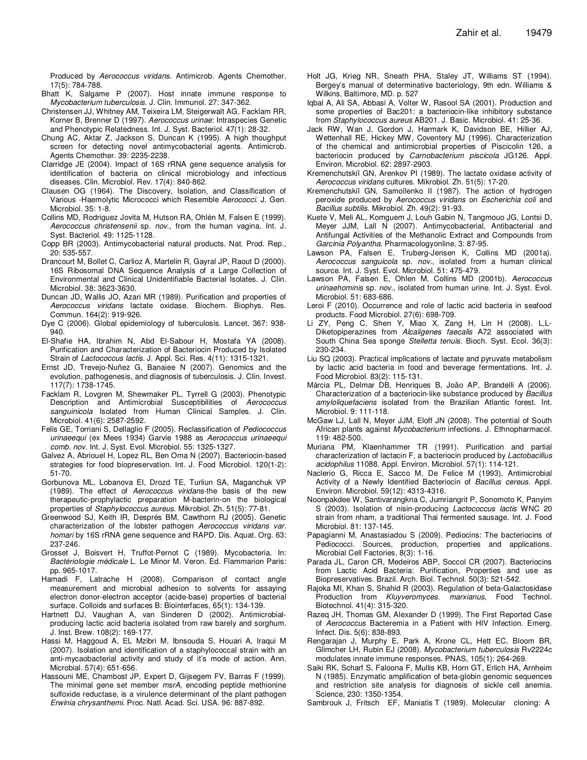Produced by Aerococcus viridans. Antimicrob. Agents Chemother. 17(5): 784-788.

- Bhatt K, Salgame P (2007). Host innate immune response to Mycobacterium tuberculosis. J. Clin. Immunol. 27: 347-362.
- Christensen JJ, Whitney AM, Teixeira LM, Steigerwalt AG, Facklam RR, Korner B, Brenner D (1997). Aerococcus urinae: Intraspecies Genetic and Phenotypic Relatedness. Int. J. Syst. Bacteriol. 47(1): 28-32.
- Chung AC, Aktar Z, Jackson S, Duncan K (1995). A high thoughput screen for detecting novel antimycobacterial agents. Antimicrob. Agents Chemother. 39: 2235-2238.
- Clarridge JE (2004). Impact of 16S rRNA gene sequence analysis for identification of bacteria on clinical microbiology and infectious diseases. Clin. Microbiol. Rev. 17(4): 840-862.
- Clausen OG (1964). The Discovery, Isolation, and Classification of Various -Haemolytic Micrococci which Resemble Aerococci. J. Gen. Microbiol. 35: 1-8.
- Collins MD, Rodriguez Jovita M, Hutson RA, Ohlén M, Falsen E (1999). Aerococcus christensenii sp. nov., from the human vagina. Int. J. Syst. Bacteriol. 49: 1125-1128.
- Copp BR (2003). Antimycobacterial natural products. Nat. Prod. Rep., 20: 535-557.
- Drancourt M, Bollet C, Carlioz A, Martelin R, Gayral JP, Raout D (2000). 16S Ribosomal DNA Sequence Analysis of a Large Collection of Environmental and Clinical Unidentifiable Bacterial Isolates. J. Clin. Microbiol. 38: 3623-3630.
- Duncan JD, Wallis JO, Azari MR (1989). Purification and properties of Aerococcus viridans lactate oxidase. Biochem. Biophys. Res. Commun. 164(2): 919-926.
- Dye C (2006). Global epidemiology of tuberculosis. Lancet, 367: 938- 940.
- El-Shafie HA, Ibrahim N, Abd El-Sabour H, Mostafa YA (2008). Purification and Characterization of Bacteriocin Produced by Isolated Strain of Lactococcus lactis. J. Appl. Sci. Res. 4(11): 1315-1321.
- Ernst JD, Trevejo-Nuñez G, Banaiee N (2007). Genomics and the evolution, pathogenesis, and diagnosis of tuberculosis. J. Clin. Invest. 117(7): 1738-1745.
- Facklam R, Lovgren M, Shewmaker PL, Tyrrell G (2003). Phenotypic Description and Antimicrobial Susceptibilities of Aerococcus sanguinicola Isolated from Human Clinical Samples. J. Clin. Microbiol. 41(6): 2587-2592.
- Felis GE, Torriani S, Dellaglio F (2005). Reclassification of Pediococcus urinaeequi (ex Mees 1934) Garvie 1988 as Aerococcus urinaeequi comb. nov. Int. J. Syst. Evol. Microbiol. 55: 1325-1327.
- Galvez A, Abriouel H, Lopez RL, Ben Oma N (2007). Bacteriocin-based strategies for food biopreservation. Int. J. Food Microbiol. 120(1-2): 51-70.
- Gorbunova ML, Lobanova EI, Drozd TE, Turliun SA, Maganchuk VP (1989). The effect of Aerococcus viridans-the basis of the new therapeutic-prophylactic preparation M-bacterin-on the biological properties of Staphylococcus aureus. Mikrobiol. Zh. 51(5): 77-81.
- Greenwood SJ, Keith IR, Després BM, Cawthorn RJ (2005). Genetic characterization of the lobster pathogen Aerococcus viridans var. homari by 16S rRNA gene sequence and RAPD. Dis. Aquat. Org. 63: 237-246.
- Grosset J, Boisvert H, Truffot-Pernot C (1989). Mycobacteria. In: Bactériologie médicale L. Le Minor M. Veron. Ed. Flammarion Paris: pp. 965-1017.
- Hamadi F, Latrache H (2008). Comparison of contact angle measurement and microbial adhesion to solvents for assaying electron donor-electron acceptor (acide-base) properties of bacterial surface. Colloids and surfaces B: Biointerfaces, 65(1): 134-139.
- Hartnett DJ, Vaughan A, van Sinderen D (2002). Antimicrobialproducing lactic acid bacteria isolated from raw barely and sorghum. J. Inst. Brew. 108(2): 169-177.
- Hassi M, Haggoud A, EL Mzibri M, Ibnsouda S, Houari A, Iraqui M (2007). Isolation and identification of a staphylococcal strain with an anti-mycaobacterial activity and study of it's mode of action. Ann. Microbial. 57(4): 651-656.
- Hassouni ME, Chambost JP, Expert D, Gijsegem FV, Barras F (1999). The minimal gene set member *msrA*, encoding peptide methionine sulfoxide reductase, is a virulence determinant of the plant pathogen Erwinia chrysanthemi. Proc. Natl. Acad. Sci. USA. 96: 887-892.
- Holt JG, Krieg NR, Sneath PHA, Staley JT, Williams ST (1994). Bergey's manual of determinative bacteriology, 9th edn. Williams & Wilkins, Baltimore, MD. p. 527
- Iqbal A, Ali SA, Abbasi A, Volter W, Rasool SA (2001). Production and some properties of Bac201: a bacteriocin-like inhibitory substance from Staphylococcus aureus AB201. J. Basic. Microbiol. 41: 25-36.
- Jack RW, Wan J, Gordon J, Harmark K, Davidson BE, Hillier AJ, Wettenhall RE, Hickey MW, Coventery MJ (1996). Characterization of the chemical and antimicrobial properties of Piscicolin 126, a bacteriocin produced by Carnobacterium piscicola JG126. Appl. Environ. Microbiol. 62: 2897-2903.
- Kremenchutskiĭ GN, Arenkov PI (1989). The lactate oxidase activity of Aerococcus viridans cultures. Mikrobiol. Zh. 51(5): 17-20.
- Kremenchutskiĭ GN, Samoĭlenko II (1987). The action of hydrogen peroxide produced by Aerococcus viridans on Escherichia coli and Bacillus subtilis. Mikrobiol. Zh. 49(2): 91-93.
- Kuete V, Meli AL, Komguem J, Louh Gabin N, Tangmouo JG, Lontsi D, Meyer JJM, Lall N (2007). Antimycobacterial, Antibacterial and Antifungal Activities of the Methanolic Extract and Compounds from Garcinia Polyantha. Pharmacologyonline, 3: 87-95.
- Lawson PA, Falsen E, Truberg-Jensen K, Collins MD (2001a). Aerococcus sanguicola sp. nov., isolated from a human clinical source. Int. J. Syst. Evol. Microbiol. 51: 475-479.
- Lawson PA, Falsen E, Ohlen M, Collins MD (2001b). Aerococcus urinaehominis sp. nov., isolated from human urine. Int. J. Syst. Evol. Microbiol. 51: 683-686.
- Leroi F (2010). Occurrence and role of lactic acid bacteria in seafood products. Food Microbiol. 27(6): 698-709.
- Li ZY, Peng C, Shen Y, Miao X, Zang H, Lin H (2008). L,L-Diketopiperazines from Alcaligenes faecalis A72 associated with South China Sea sponge Stelletta tenuis. Bioch. Syst. Ecol. 36(3): 230-234.
- Liu SQ (2003). Practical implications of lactate and pyruvate metabolism by lactic acid bacteria in food and beverage fermentations. Int. J. Food Microbiol. 83(2): 115-131.
- Márcia PL, Delmar DB, Henriques B, João AP, Brandelli A (2006). Characterization of a bacteriocin-like substance produced by Bacillus amyloliquefaciens isolated from the Brazilian Atlantic forest. Int. Microbiol. 9: 111-118.
- McGaw LJ, Lall N, Meyer JJM, Eloff JN (2008). The potential of South African plants against Mycobacterium infections. J. Ethnopharmacol. 119: 482-500.
- Muriana PM, Klaenhammer TR (1991). Purification and partial characterization of lactacin F, a bacteriocin produced by Lactobacillus acidophilus 11088. Appl. Environ. Microbiol. 57(1): 114-121.
- Naclerio G, Ricca E, Sacco M, De Felice M (1993). Antimicrobial Activity of a Newly Identified Bacteriocin of Bacillus cereus. Appl. Environ. Microbiol. 59(12): 4313-4316.
- Noonpakdee W, Santivarangkna C, Jumriangrit P, Sonomoto K, Panyim S (2003). Isolation of nisin-producing Lactococcus lactis WNC 20 strain from nham, a traditional Thai fermented sausage. Int. J. Food Microbiol. 81: 137-145.
- Papagianni M, Anastasiadou S (2009). Pediocins: The bacteriocins of Pediococci. Sources, production, properties and applications. Microbial Cell Factories, 8(3): 1-16.
- Parada JL, Caron CR, Medeiros ABP, Soccol CR (2007). Bacteriocins from Lactic Acid Bacteria: Purification, Properties and use as Biopreservatives. Brazil. Arch. Biol. Technol. 50(3): 521-542.
- Rajoka MI, Khan S, Shahid R (2003). Regulation of beta-Galactosidase Production from Kluyveromyces. marxianus, Food Technol. Biotechnol. 41(4): 315-320.
- Razeq JH, Thomas GM, Alexander D (1999). The First Reported Case of Aerococcus Bacteremia in a Patient with HIV Infection. Emerg. Infect. Dis. 5(6): 838-893.
- Rengarajan J, Murphy E, Park A, Krone CL, Hett EC, Bloom BR, Glimcher LH, Rubin EJ (2008). Mycobacterium tuberculosis Rv2224c modulates innate immune responses. PNAS, 105(1): 264-269.
- Saiki RK, Scharf S, Faloona F, Mullis KB, Horn GT, Erlich HA, Arnheim N (1985). Enzymatic amplification of beta-globin genomic sequences and restriction site analysis for diagnosis of sickle cell anemia. Science, 230: 1350-1354.
- Sambrouk J, Fritsch EF, Maniatis T (1989). Molecular cloning: A